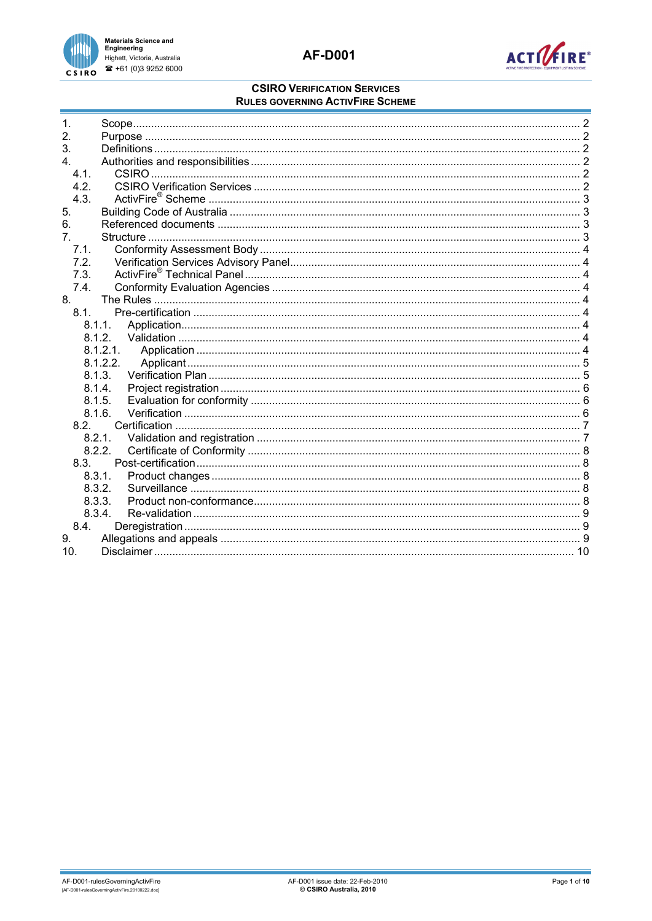



| $\mathbf 1$     |  |
|-----------------|--|
| 2.              |  |
| 3.              |  |
| 4               |  |
| 4.1.            |  |
| 4.2.            |  |
| 4.3.            |  |
| 5.              |  |
| 6.              |  |
| 7 <sup>1</sup>  |  |
| 7.1.            |  |
| 7.2.            |  |
| 7.3.            |  |
| 7.4.            |  |
| 8.              |  |
| 8.1             |  |
|                 |  |
| 8.1.1.          |  |
| 8.1.2.          |  |
|                 |  |
| 8.1.2.2.        |  |
| 8.1.3.          |  |
| 8.1.4.          |  |
| 8.1.5.          |  |
| 8.1.6.          |  |
| 8.2             |  |
| 8.2.1.          |  |
| 8.2.2.          |  |
| 8.3.            |  |
| 8.3.1.          |  |
| 8.3.2.          |  |
| 8.3.3.          |  |
| 8.3.4.          |  |
| 8.4.            |  |
| 9.              |  |
| 10 <sub>1</sub> |  |
|                 |  |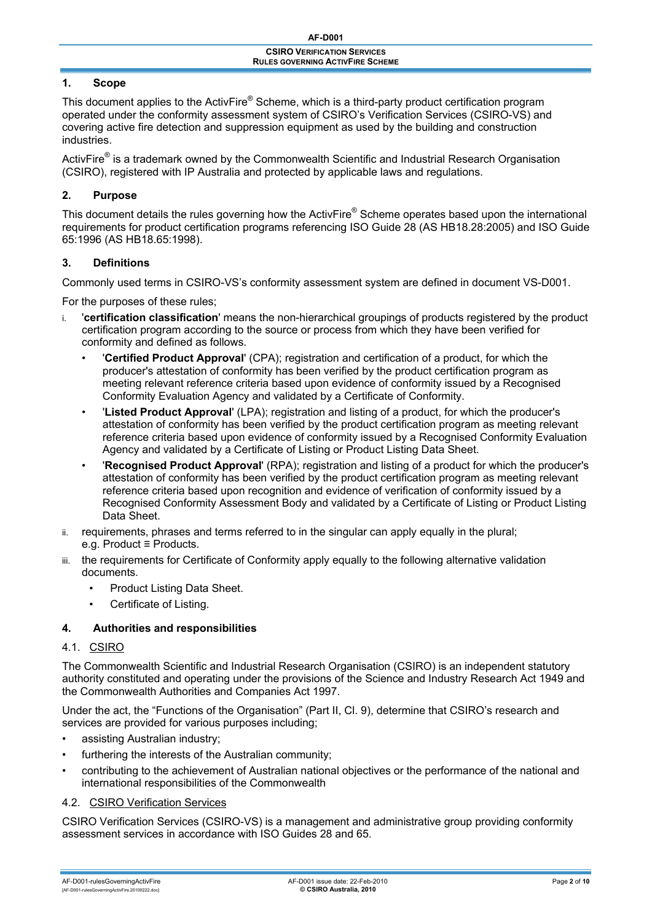# <span id="page-1-0"></span>**1. Scope**

This document applies to the ActivFire® Scheme, which is a third-party product certification program operated under the conformity assessment system of CSIRO's Verification Services (CSIRO-VS) and covering active fire detection and suppression equipment as used by the building and construction industries.

ActivFire $^{\circledast}$  is a trademark owned by the Commonwealth Scientific and Industrial Research Organisation (CSIRO), registered with IP Australia and protected by applicable laws and regulations.

## **2. Purpose**

This document details the rules governing how the ActivFire® Scheme operates based upon the international requirements for product certification programs referencing ISO Guide 28 (AS HB18.28:2005) and ISO Guide 65:1996 (AS HB18.65:1998).

### **3. Definitions**

Commonly used terms in CSIRO-VS's conformity assessment system are defined in document VS-D001.

For the purposes of these rules;

- i. '**certification classification**' means the non-hierarchical groupings of products registered by the product certification program according to the source or process from which they have been verified for conformity and defined as follows.
	- '**Certified Product Approval**' (CPA); registration and certification of a product, for which the producer's attestation of conformity has been verified by the product certification program as meeting relevant reference criteria based upon evidence of conformity issued by a Recognised Conformity Evaluation Agency and validated by a Certificate of Conformity.
	- '**Listed Product Approval**' (LPA); registration and listing of a product, for which the producer's attestation of conformity has been verified by the product certification program as meeting relevant reference criteria based upon evidence of conformity issued by a Recognised Conformity Evaluation Agency and validated by a Certificate of Listing or Product Listing Data Sheet.
	- '**Recognised Product Approval**' (RPA); registration and listing of a product for which the producer's attestation of conformity has been verified by the product certification program as meeting relevant reference criteria based upon recognition and evidence of verification of conformity issued by a Recognised Conformity Assessment Body and validated by a Certificate of Listing or Product Listing Data Sheet.
- ii. requirements, phrases and terms referred to in the singular can apply equally in the plural; e.g. Product ≡ Products.
- iii. the requirements for Certificate of Conformity apply equally to the following alternative validation documents.
	- Product Listing Data Sheet.
	- Certificate of Listing.

## **4. Authorities and responsibilities**

### 4.1. CSIRO

The Commonwealth Scientific and Industrial Research Organisation (CSIRO) is an independent statutory authority constituted and operating under the provisions of the Science and Industry Research Act 1949 and the Commonwealth Authorities and Companies Act 1997.

Under the act, the "Functions of the Organisation" (Part II, Cl. 9), determine that CSIRO's research and services are provided for various purposes including;

- assisting Australian industry;
- furthering the interests of the Australian community;
- contributing to the achievement of Australian national objectives or the performance of the national and international responsibilities of the Commonwealth

### 4.2. CSIRO Verification Services

CSIRO Verification Services (CSIRO-VS) is a management and administrative group providing conformity assessment services in accordance with ISO Guides 28 and 65.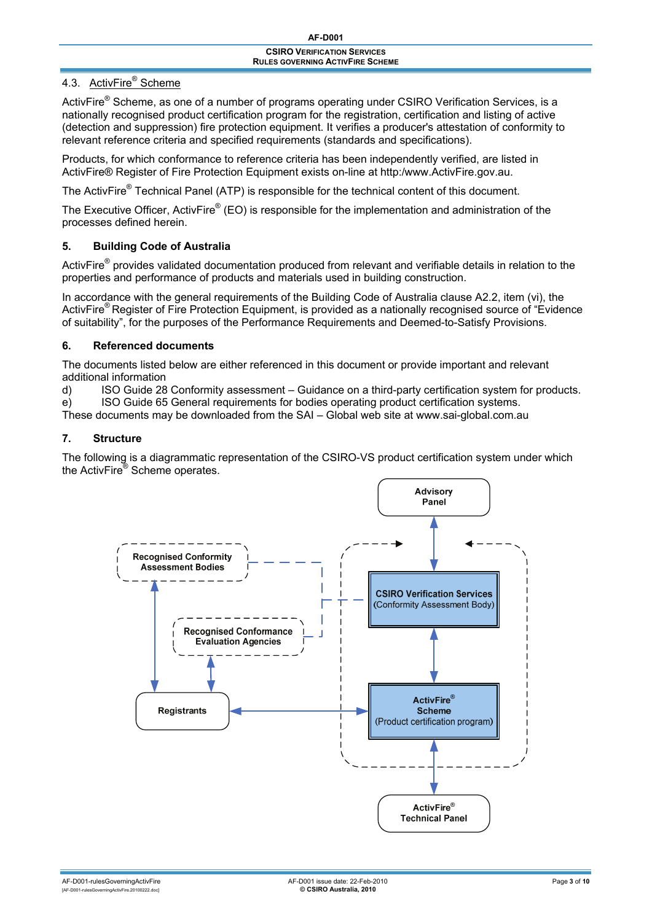# <span id="page-2-0"></span>4.3. ActivFire® Scheme

ActivFire<sup>®</sup> Scheme, as one of a number of programs operating under CSIRO Verification Services, is a nationally recognised product certification program for the registration, certification and listing of active (detection and suppression) fire protection equipment. It verifies a producer's attestation of conformity to relevant reference criteria and specified requirements (standards and specifications).

Products, for which conformance to reference criteria has been independently verified, are listed in ActivFire® Register of Fire Protection Equipment exists on-line at http:/www.ActivFire.gov.au.

The ActivFire<sup>®</sup> Technical Panel (ATP) is responsible for the technical content of this document.

The Executive Officer, ActivFire® (EO) is responsible for the implementation and administration of the processes defined herein.

# **5. Building Code of Australia**

ActivFire<sup>®</sup> provides validated documentation produced from relevant and verifiable details in relation to the properties and performance of products and materials used in building construction.

In accordance with the general requirements of the Building Code of Australia clause A2.2, item (vi), the ActivFire® Register of Fire Protection Equipment, is provided as a nationally recognised source of "Evidence of suitability", for the purposes of the Performance Requirements and Deemed-to-Satisfy Provisions.

# **6. Referenced documents**

The documents listed below are either referenced in this document or provide important and relevant additional information

d) ISO Guide 28 Conformity assessment – Guidance on a third-party certification system for products.

e) ISO Guide 65 General requirements for bodies operating product certification systems.

These documents may be downloaded from the SAI – Global web site at www.sai-global.com.au

# **7. Structure**

The following is a diagrammatic representation of the CSIRO-VS product certification system under which the ActivFire® Scheme operates.

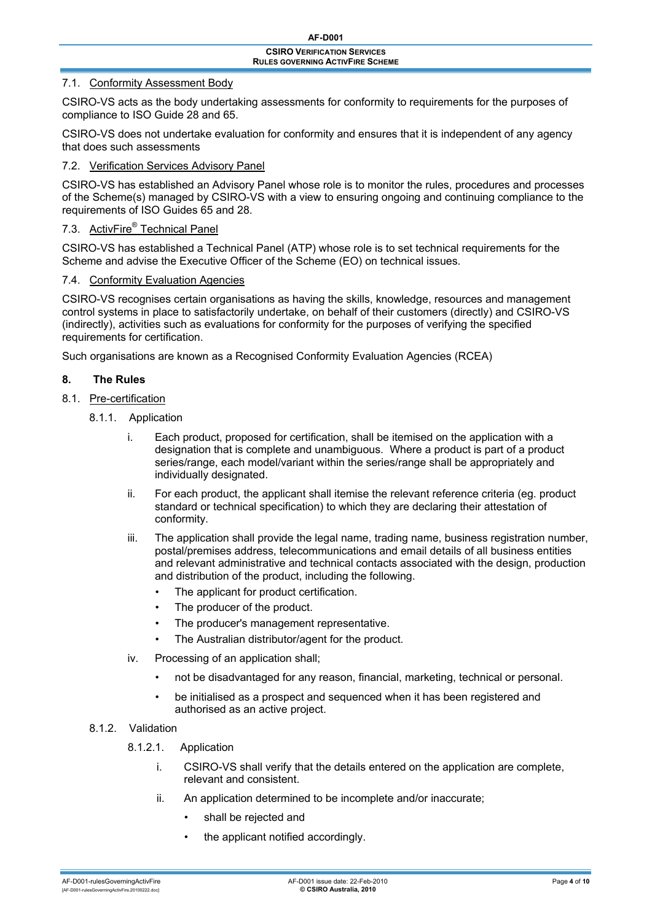## <span id="page-3-0"></span>7.1. Conformity Assessment Body

CSIRO-VS acts as the body undertaking assessments for conformity to requirements for the purposes of compliance to ISO Guide 28 and 65.

CSIRO-VS does not undertake evaluation for conformity and ensures that it is independent of any agency that does such assessments

## 7.2. Verification Services Advisory Panel

CSIRO-VS has established an Advisory Panel whose role is to monitor the rules, procedures and processes of the Scheme(s) managed by CSIRO-VS with a view to ensuring ongoing and continuing compliance to the requirements of ISO Guides 65 and 28.

# 7.3. ActivFire® Technical Panel

CSIRO-VS has established a Technical Panel (ATP) whose role is to set technical requirements for the Scheme and advise the Executive Officer of the Scheme (EO) on technical issues.

### 7.4. Conformity Evaluation Agencies

CSIRO-VS recognises certain organisations as having the skills, knowledge, resources and management control systems in place to satisfactorily undertake, on behalf of their customers (directly) and CSIRO-VS (indirectly), activities such as evaluations for conformity for the purposes of verifying the specified requirements for certification.

Such organisations are known as a Recognised Conformity Evaluation Agencies (RCEA)

# **8. The Rules**

## 8.1. Pre-certification

- 8.1.1. Application
	- i. Each product, proposed for certification, shall be itemised on the application with a designation that is complete and unambiguous. Where a product is part of a product series/range, each model/variant within the series/range shall be appropriately and individually designated.
	- ii. For each product, the applicant shall itemise the relevant reference criteria (eg. product standard or technical specification) to which they are declaring their attestation of conformity.
	- iii. The application shall provide the legal name, trading name, business registration number, postal/premises address, telecommunications and email details of all business entities and relevant administrative and technical contacts associated with the design, production and distribution of the product, including the following.
		- The applicant for product certification.
		- The producer of the product.
		- The producer's management representative.
		- The Australian distributor/agent for the product.
	- iv. Processing of an application shall;
		- not be disadvantaged for any reason, financial, marketing, technical or personal.
		- be initialised as a prospect and sequenced when it has been registered and authorised as an active project.

### 8.1.2 Validation

- 8.1.2.1. Application
	- i. CSIRO-VS shall verify that the details entered on the application are complete, relevant and consistent.
	- ii. An application determined to be incomplete and/or inaccurate;
		- shall be rejected and
		- the applicant notified accordingly.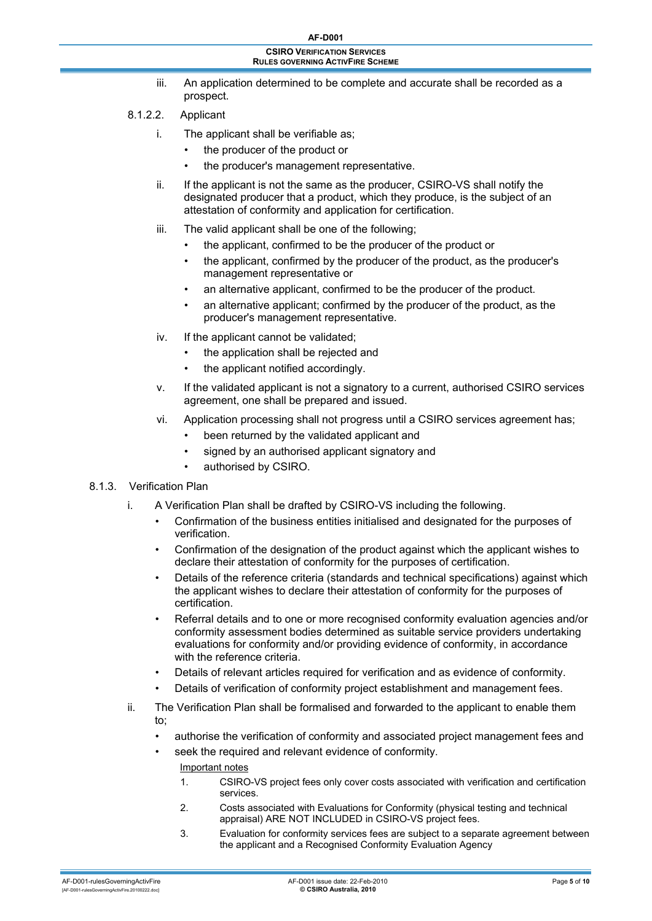- iii. An application determined to be complete and accurate shall be recorded as a prospect.
- <span id="page-4-0"></span>8.1.2.2. Applicant
	- i. The applicant shall be verifiable as;
		- the producer of the product or
		- the producer's management representative.
	- ii. If the applicant is not the same as the producer, CSIRO-VS shall notify the designated producer that a product, which they produce, is the subject of an attestation of conformity and application for certification.
	- iii. The valid applicant shall be one of the following;
		- the applicant, confirmed to be the producer of the product or
		- the applicant, confirmed by the producer of the product, as the producer's management representative or
		- an alternative applicant, confirmed to be the producer of the product.
		- an alternative applicant; confirmed by the producer of the product, as the producer's management representative.
	- iv. If the applicant cannot be validated;
		- the application shall be rejected and
		- the applicant notified accordingly.
	- v. If the validated applicant is not a signatory to a current, authorised CSIRO services agreement, one shall be prepared and issued.
	- vi. Application processing shall not progress until a CSIRO services agreement has;
		- been returned by the validated applicant and
		- signed by an authorised applicant signatory and
		- authorised by CSIRO.

# 8.1.3. Verification Plan

- i. A Verification Plan shall be drafted by CSIRO-VS including the following.
	- Confirmation of the business entities initialised and designated for the purposes of verification.
	- Confirmation of the designation of the product against which the applicant wishes to declare their attestation of conformity for the purposes of certification.
	- Details of the reference criteria (standards and technical specifications) against which the applicant wishes to declare their attestation of conformity for the purposes of certification.
	- Referral details and to one or more recognised conformity evaluation agencies and/or conformity assessment bodies determined as suitable service providers undertaking evaluations for conformity and/or providing evidence of conformity, in accordance with the reference criteria.
	- Details of relevant articles required for verification and as evidence of conformity.
	- Details of verification of conformity project establishment and management fees.
- ii. The Verification Plan shall be formalised and forwarded to the applicant to enable them to;
	- authorise the verification of conformity and associated project management fees and
	- seek the required and relevant evidence of conformity.
		- Important notes
		- 1. CSIRO-VS project fees only cover costs associated with verification and certification services.
		- 2. Costs associated with Evaluations for Conformity (physical testing and technical appraisal) ARE NOT INCLUDED in CSIRO-VS project fees.
		- 3. Evaluation for conformity services fees are subject to a separate agreement between the applicant and a Recognised Conformity Evaluation Agency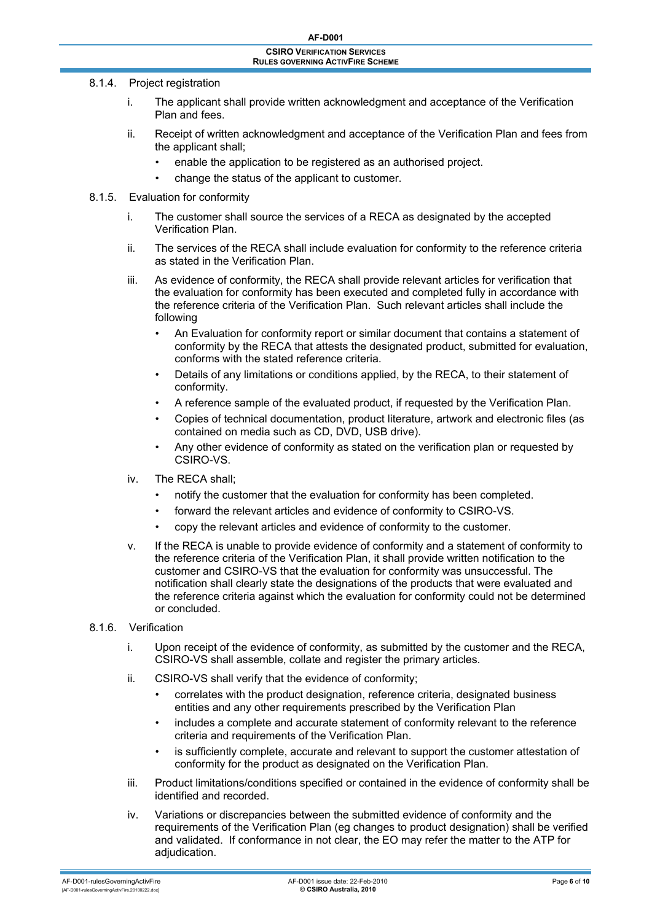#### <span id="page-5-0"></span>8.1.4. Project registration

- i. The applicant shall provide written acknowledgment and acceptance of the Verification Plan and fees.
- ii. Receipt of written acknowledgment and acceptance of the Verification Plan and fees from the applicant shall;
	- enable the application to be registered as an authorised project.
	- change the status of the applicant to customer.

#### 8.1.5. Evaluation for conformity

- i. The customer shall source the services of a RECA as designated by the accepted Verification Plan.
- ii. The services of the RECA shall include evaluation for conformity to the reference criteria as stated in the Verification Plan.
- iii. As evidence of conformity, the RECA shall provide relevant articles for verification that the evaluation for conformity has been executed and completed fully in accordance with the reference criteria of the Verification Plan. Such relevant articles shall include the following
	- An Evaluation for conformity report or similar document that contains a statement of conformity by the RECA that attests the designated product, submitted for evaluation, conforms with the stated reference criteria.
	- Details of any limitations or conditions applied, by the RECA, to their statement of conformity.
	- A reference sample of the evaluated product, if requested by the Verification Plan.
	- Copies of technical documentation, product literature, artwork and electronic files (as contained on media such as CD, DVD, USB drive).
	- Any other evidence of conformity as stated on the verification plan or requested by CSIRO-VS.
- iv. The RECA shall;
	- notify the customer that the evaluation for conformity has been completed.
	- forward the relevant articles and evidence of conformity to CSIRO-VS.
	- copy the relevant articles and evidence of conformity to the customer.
- v. If the RECA is unable to provide evidence of conformity and a statement of conformity to the reference criteria of the Verification Plan, it shall provide written notification to the customer and CSIRO-VS that the evaluation for conformity was unsuccessful. The notification shall clearly state the designations of the products that were evaluated and the reference criteria against which the evaluation for conformity could not be determined or concluded.

#### 8.1.6. Verification

- i. Upon receipt of the evidence of conformity, as submitted by the customer and the RECA, CSIRO-VS shall assemble, collate and register the primary articles.
- ii. CSIRO-VS shall verify that the evidence of conformity;
	- correlates with the product designation, reference criteria, designated business entities and any other requirements prescribed by the Verification Plan
	- includes a complete and accurate statement of conformity relevant to the reference criteria and requirements of the Verification Plan.
	- is sufficiently complete, accurate and relevant to support the customer attestation of conformity for the product as designated on the Verification Plan.
- iii. Product limitations/conditions specified or contained in the evidence of conformity shall be identified and recorded.
- iv. Variations or discrepancies between the submitted evidence of conformity and the requirements of the Verification Plan (eg changes to product designation) shall be verified and validated. If conformance in not clear, the EO may refer the matter to the ATP for adiudication.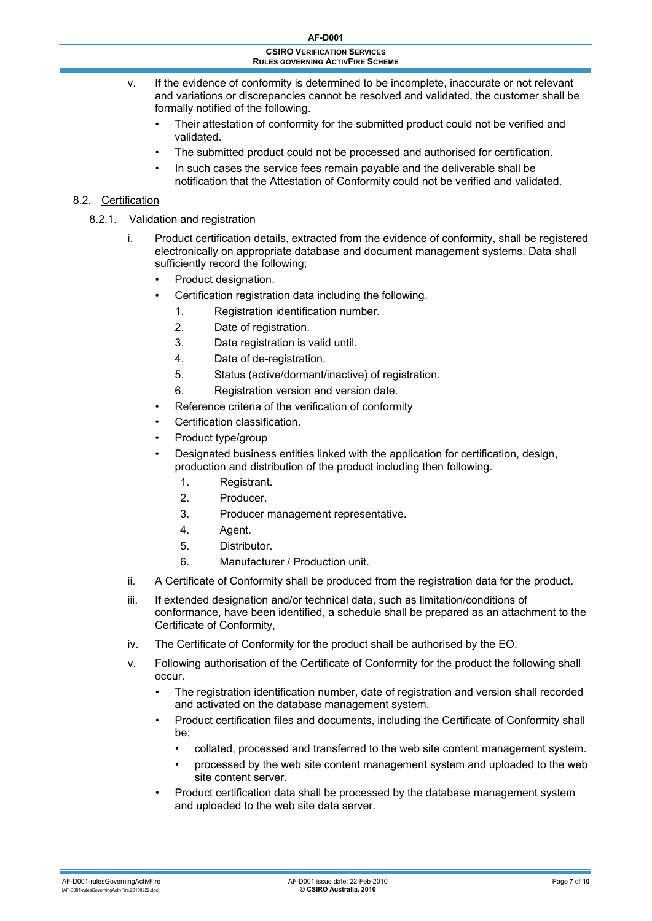<span id="page-6-0"></span>

| <b>AF-D001</b>                                                                |
|-------------------------------------------------------------------------------|
| <b>CSIRO VERIFICATION SERVICES</b><br><b>RULES GOVERNING ACTIVFIRE SCHEME</b> |
|                                                                               |

- v. If the evidence of conformity is determined to be incomplete, inaccurate or not relevant and variations or discrepancies cannot be resolved and validated, the customer shall be formally notified of the following.
	- Their attestation of conformity for the submitted product could not be verified and validated.
	- The submitted product could not be processed and authorised for certification.
	- In such cases the service fees remain payable and the deliverable shall be notification that the Attestation of Conformity could not be verified and validated.

# 8.2. Certification

- 8.2.1. Validation and registration
	- i. Product certification details, extracted from the evidence of conformity, shall be registered electronically on appropriate database and document management systems. Data shall sufficiently record the following;
		- Product designation.
		- Certification registration data including the following.
			- 1. Registration identification number.
			- 2. Date of registration.
			- 3. Date registration is valid until.
			- 4. Date of de-registration.
			- 5. Status (active/dormant/inactive) of registration.
			- 6. Registration version and version date.
		- Reference criteria of the verification of conformity
		- Certification classification.
		- Product type/group
		- Designated business entities linked with the application for certification, design, production and distribution of the product including then following.
			- 1. Registrant.
			- 2. Producer.
			- 3. Producer management representative.
			- 4. Agent.
			- 5. Distributor.
			- 6. Manufacturer / Production unit.
	- ii. A Certificate of Conformity shall be produced from the registration data for the product.
	- iii. If extended designation and/or technical data, such as limitation/conditions of conformance, have been identified, a schedule shall be prepared as an attachment to the Certificate of Conformity,
	- iv. The Certificate of Conformity for the product shall be authorised by the EO.
	- v. Following authorisation of the Certificate of Conformity for the product the following shall occur.
		- The registration identification number, date of registration and version shall recorded and activated on the database management system.
		- Product certification files and documents, including the Certificate of Conformity shall be;
			- collated, processed and transferred to the web site content management system.
			- processed by the web site content management system and uploaded to the web site content server.
		- Product certification data shall be processed by the database management system and uploaded to the web site data server.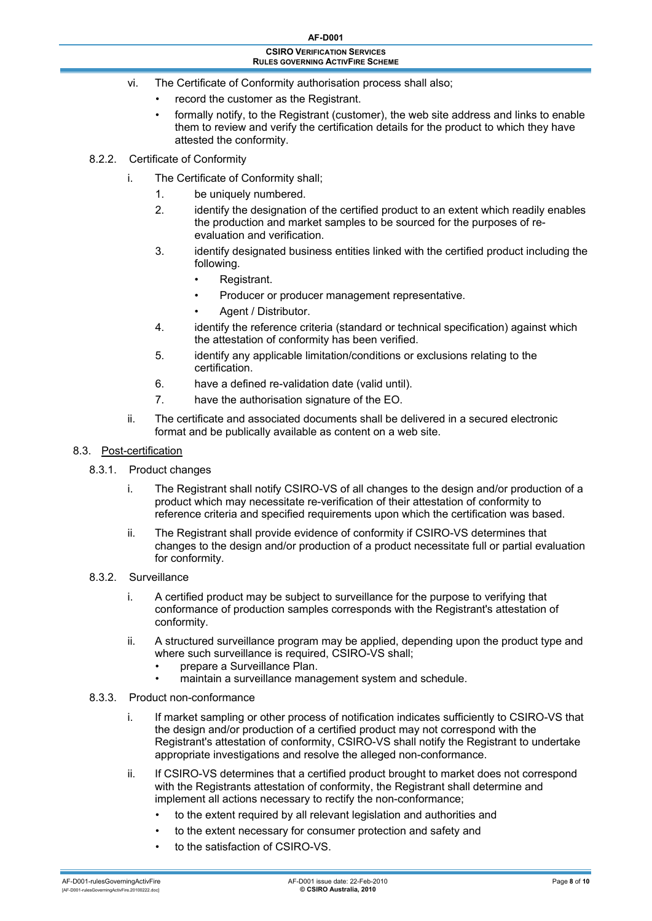- <span id="page-7-0"></span>vi. The Certificate of Conformity authorisation process shall also;
	- record the customer as the Registrant.
	- formally notify, to the Registrant (customer), the web site address and links to enable them to review and verify the certification details for the product to which they have attested the conformity.
- 8.2.2. Certificate of Conformity
	- i. The Certificate of Conformity shall;
		- 1. be uniquely numbered.
		- 2. identify the designation of the certified product to an extent which readily enables the production and market samples to be sourced for the purposes of reevaluation and verification.
		- 3. identify designated business entities linked with the certified product including the following.
			- Registrant.
			- Producer or producer management representative.
			- Agent / Distributor.
		- 4. identify the reference criteria (standard or technical specification) against which the attestation of conformity has been verified.
		- 5. identify any applicable limitation/conditions or exclusions relating to the certification.
		- 6. have a defined re-validation date (valid until).
		- 7. have the authorisation signature of the EO.
	- ii. The certificate and associated documents shall be delivered in a secured electronic format and be publically available as content on a web site.

### 8.3. Post-certification

- 8.3.1. Product changes
	- i. The Registrant shall notify CSIRO-VS of all changes to the design and/or production of a product which may necessitate re-verification of their attestation of conformity to reference criteria and specified requirements upon which the certification was based.
	- ii. The Registrant shall provide evidence of conformity if CSIRO-VS determines that changes to the design and/or production of a product necessitate full or partial evaluation for conformity.
- 8.3.2. Surveillance
	- i. A certified product may be subject to surveillance for the purpose to verifying that conformance of production samples corresponds with the Registrant's attestation of conformity.
	- ii. A structured surveillance program may be applied, depending upon the product type and where such surveillance is required, CSIRO-VS shall:
		- prepare a Surveillance Plan.
		- maintain a surveillance management system and schedule.
- 8.3.3. Product non-conformance
	- i. If market sampling or other process of notification indicates sufficiently to CSIRO-VS that the design and/or production of a certified product may not correspond with the Registrant's attestation of conformity, CSIRO-VS shall notify the Registrant to undertake appropriate investigations and resolve the alleged non-conformance.
	- ii. If CSIRO-VS determines that a certified product brought to market does not correspond with the Registrants attestation of conformity, the Registrant shall determine and implement all actions necessary to rectify the non-conformance;
		- to the extent required by all relevant legislation and authorities and
		- to the extent necessary for consumer protection and safety and
		- to the satisfaction of CSIRO-VS.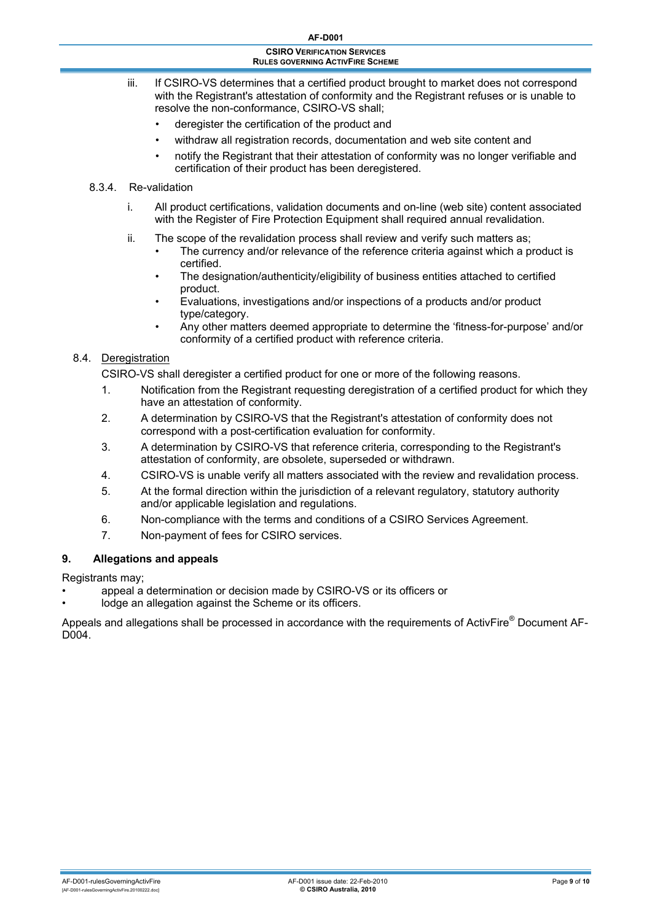- <span id="page-8-0"></span>iii. If CSIRO-VS determines that a certified product brought to market does not correspond with the Registrant's attestation of conformity and the Registrant refuses or is unable to resolve the non-conformance, CSIRO-VS shall;
	- deregister the certification of the product and
	- withdraw all registration records, documentation and web site content and
	- notify the Registrant that their attestation of conformity was no longer verifiable and certification of their product has been deregistered.

#### 8.3.4. Re-validation

- i. All product certifications, validation documents and on-line (web site) content associated with the Register of Fire Protection Equipment shall required annual revalidation.
- ii. The scope of the revalidation process shall review and verify such matters as;
	- The currency and/or relevance of the reference criteria against which a product is certified.
	- The designation/authenticity/eligibility of business entities attached to certified product.
	- Evaluations, investigations and/or inspections of a products and/or product type/category.
	- Any other matters deemed appropriate to determine the 'fitness-for-purpose' and/or conformity of a certified product with reference criteria.

### 8.4. Deregistration

CSIRO-VS shall deregister a certified product for one or more of the following reasons.

- 1. Notification from the Registrant requesting deregistration of a certified product for which they have an attestation of conformity.
- 2. A determination by CSIRO-VS that the Registrant's attestation of conformity does not correspond with a post-certification evaluation for conformity.
- 3. A determination by CSIRO-VS that reference criteria, corresponding to the Registrant's attestation of conformity, are obsolete, superseded or withdrawn.
- 4. CSIRO-VS is unable verify all matters associated with the review and revalidation process.
- 5. At the formal direction within the jurisdiction of a relevant regulatory, statutory authority and/or applicable legislation and regulations.
- 6. Non-compliance with the terms and conditions of a CSIRO Services Agreement.
- 7. Non-payment of fees for CSIRO services.

### **9. Allegations and appeals**

Registrants may;

- appeal a determination or decision made by CSIRO-VS or its officers or
- lodge an allegation against the Scheme or its officers.

Appeals and allegations shall be processed in accordance with the requirements of ActivFire® Document AF-D004.